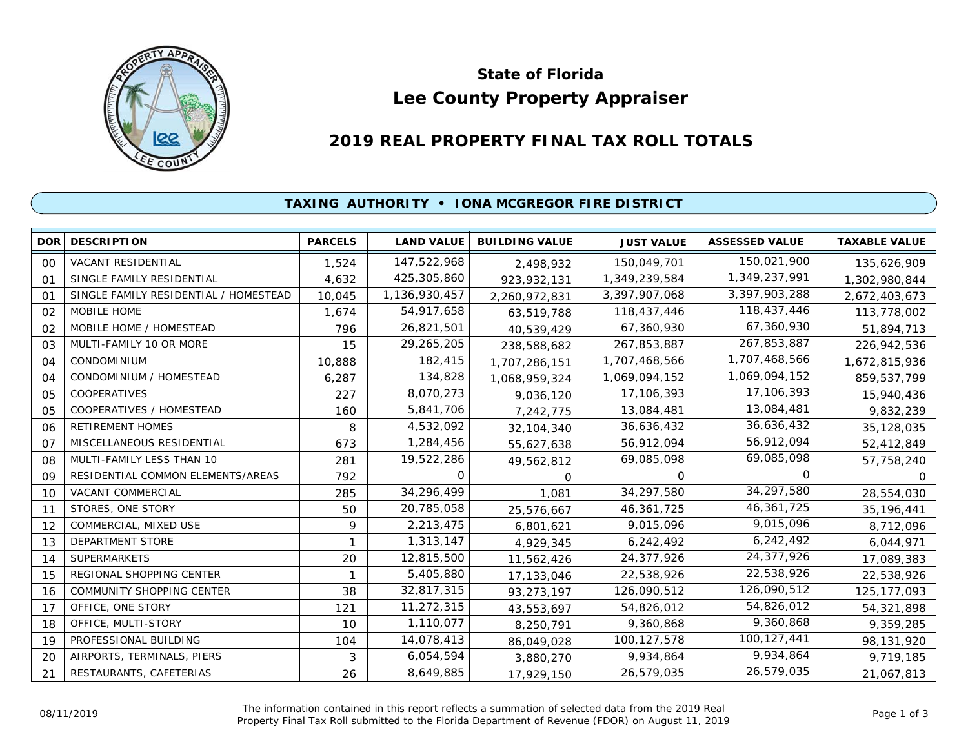

# **Lee County Property Appraiser State of Florida**

# **2019 REAL PROPERTY FINAL TAX ROLL TOTALS**

## **TAXING AUTHORITY • IONA MCGREGOR FIRE DISTRICT**

| <b>DOR</b>     | <b>DESCRIPTION</b>                    | <b>PARCELS</b> | <b>LAND VALUE</b> | <b>BUILDING VALUE</b> | <b>JUST VALUE</b> | <b>ASSESSED VALUE</b> | <b>TAXABLE VALUE</b> |
|----------------|---------------------------------------|----------------|-------------------|-----------------------|-------------------|-----------------------|----------------------|
| 00             | VACANT RESIDENTIAL                    | 1,524          | 147,522,968       | 2,498,932             | 150,049,701       | 150,021,900           | 135,626,909          |
| O <sub>1</sub> | SINGLE FAMILY RESIDENTIAL             | 4,632          | 425,305,860       | 923,932,131           | 1,349,239,584     | 1,349,237,991         | 1,302,980,844        |
| O <sub>1</sub> | SINGLE FAMILY RESIDENTIAL / HOMESTEAD | 10,045         | 1,136,930,457     | 2,260,972,831         | 3,397,907,068     | 3,397,903,288         | 2,672,403,673        |
| 02             | <b>MOBILE HOME</b>                    | 1,674          | 54,917,658        | 63,519,788            | 118,437,446       | 118,437,446           | 113,778,002          |
| 02             | MOBILE HOME / HOMESTEAD               | 796            | 26,821,501        | 40,539,429            | 67,360,930        | 67,360,930            | 51,894,713           |
| 03             | MULTI-FAMILY 10 OR MORE               | 15             | 29,265,205        | 238,588,682           | 267,853,887       | 267,853,887           | 226,942,536          |
| 04             | CONDOMINIUM                           | 10,888         | 182,415           | 1,707,286,151         | 1,707,468,566     | 1,707,468,566         | 1,672,815,936        |
| 04             | CONDOMINIUM / HOMESTEAD               | 6,287          | 134,828           | 1,068,959,324         | 1,069,094,152     | 1,069,094,152         | 859,537,799          |
| 05             | COOPERATIVES                          | 227            | 8,070,273         | 9,036,120             | 17,106,393        | 17,106,393            | 15,940,436           |
| 05             | COOPERATIVES / HOMESTEAD              | 160            | 5,841,706         | 7,242,775             | 13,084,481        | 13,084,481            | 9,832,239            |
| 06             | <b>RETIREMENT HOMES</b>               | 8              | 4,532,092         | 32,104,340            | 36,636,432        | 36,636,432            | 35,128,035           |
| O <sub>7</sub> | MISCELLANEOUS RESIDENTIAL             | 673            | 1,284,456         | 55,627,638            | 56,912,094        | 56,912,094            | 52,412,849           |
| 08             | MULTI-FAMILY LESS THAN 10             | 281            | 19,522,286        | 49,562,812            | 69,085,098        | 69,085,098            | 57,758,240           |
| 09             | RESIDENTIAL COMMON ELEMENTS/AREAS     | 792            | $\Omega$          | $\Omega$              | 0                 | O                     | <sup>o</sup>         |
| 10             | <b>VACANT COMMERCIAL</b>              | 285            | 34,296,499        | 1,081                 | 34,297,580        | 34,297,580            | 28,554,030           |
| 11             | STORES, ONE STORY                     | 50             | 20,785,058        | 25,576,667            | 46,361,725        | 46,361,725            | 35, 196, 441         |
| 12             | COMMERCIAL, MIXED USE                 | 9              | 2,213,475         | 6,801,621             | 9,015,096         | 9,015,096             | 8,712,096            |
| 13             | <b>DEPARTMENT STORE</b>               | 1              | 1,313,147         | 4,929,345             | 6,242,492         | 6,242,492             | 6,044,971            |
| 14             | <b>SUPERMARKETS</b>                   | 20             | 12,815,500        | 11,562,426            | 24,377,926        | 24,377,926            | 17,089,383           |
| 15             | REGIONAL SHOPPING CENTER              | 1              | 5,405,880         | 17,133,046            | 22,538,926        | 22,538,926            | 22,538,926           |
| 16             | COMMUNITY SHOPPING CENTER             | 38             | 32,817,315        | 93,273,197            | 126,090,512       | 126,090,512           | 125, 177, 093        |
| 17             | OFFICE, ONE STORY                     | 121            | 11,272,315        | 43,553,697            | 54,826,012        | 54,826,012            | 54,321,898           |
| 18             | OFFICE, MULTI-STORY                   | 10             | 1,110,077         | 8,250,791             | 9,360,868         | 9,360,868             | 9,359,285            |
| 19             | PROFESSIONAL BUILDING                 | 104            | 14,078,413        | 86,049,028            | 100,127,578       | 100,127,441           | 98,131,920           |
| 20             | AIRPORTS, TERMINALS, PIERS            | 3              | 6,054,594         | 3,880,270             | 9,934,864         | 9,934,864             | 9,719,185            |
| 21             | RESTAURANTS, CAFETERIAS               | 26             | 8,649,885         | 17,929,150            | 26,579,035        | 26,579,035            | 21,067,813           |

The information contained in this report reflects a summation of selected data from the 2019 Real OB/11/2019 **Example Final Tax Roll submitted in this report reflects a summation of selected data from the 2019 Real<br>Property Final Tax Roll submitted to the Florida Department of Revenue (FDOR) on August 11, 2019 Page 1 o**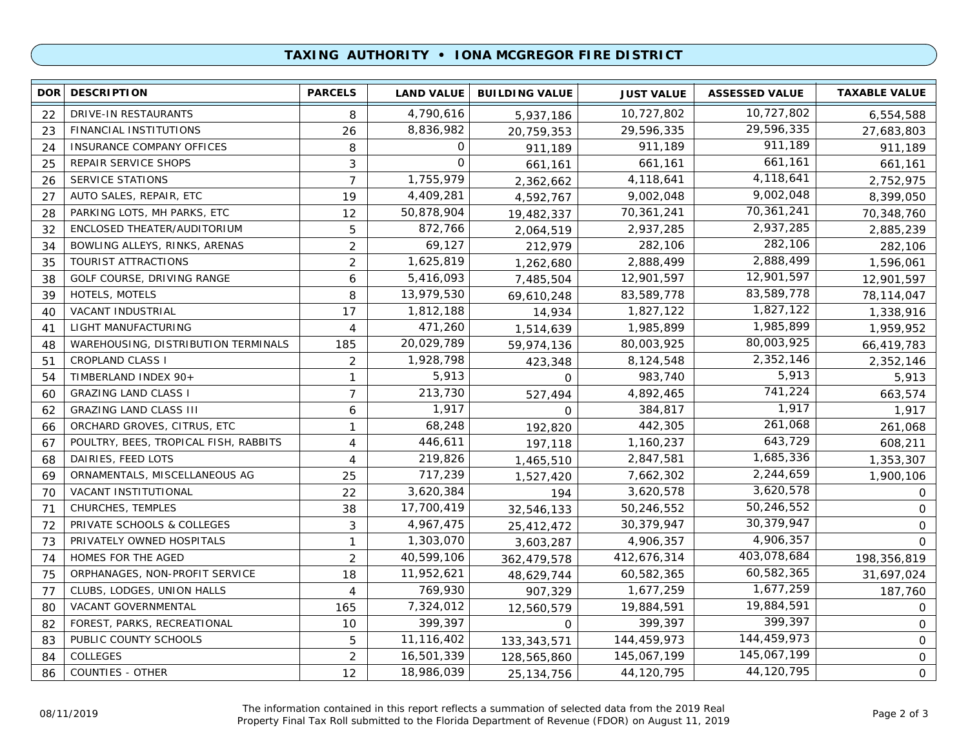### **TAXING AUTHORITY • IONA MCGREGOR FIRE DISTRICT**

| <b>DOR</b> | <b>DESCRIPTION</b>                    | <b>PARCELS</b> | <b>LAND VALUE</b> | <b>BUILDING VALUE</b> | <b>JUST VALUE</b> | <b>ASSESSED VALUE</b> | <b>TAXABLE VALUE</b> |
|------------|---------------------------------------|----------------|-------------------|-----------------------|-------------------|-----------------------|----------------------|
| 22         | DRIVE-IN RESTAURANTS                  | 8              | 4,790,616         | 5,937,186             | 10,727,802        | 10,727,802            | 6,554,588            |
| 23         | FINANCIAL INSTITUTIONS                | 26             | 8,836,982         | 20,759,353            | 29,596,335        | 29,596,335            | 27,683,803           |
| 24         | INSURANCE COMPANY OFFICES             | 8              | 0                 | 911,189               | 911,189           | 911,189               | 911,189              |
| 25         | REPAIR SERVICE SHOPS                  | 3              | $\Omega$          | 661,161               | 661,161           | 661,161               | 661,161              |
| 26         | <b>SERVICE STATIONS</b>               | $\overline{7}$ | 1,755,979         | 2,362,662             | 4,118,641         | 4,118,641             | 2,752,975            |
| 27         | AUTO SALES, REPAIR, ETC               | 19             | 4,409,281         | 4,592,767             | 9,002,048         | 9,002,048             | 8,399,050            |
| 28         | PARKING LOTS, MH PARKS, ETC           | 12             | 50,878,904        | 19,482,337            | 70,361,241        | 70,361,241            | 70,348,760           |
| 32         | ENCLOSED THEATER/AUDITORIUM           | 5              | 872,766           | 2,064,519             | 2,937,285         | 2,937,285             | 2,885,239            |
| 34         | BOWLING ALLEYS, RINKS, ARENAS         | $\overline{2}$ | 69,127            | 212,979               | 282,106           | 282,106               | 282,106              |
| 35         | TOURIST ATTRACTIONS                   | 2              | 1,625,819         | 1,262,680             | 2,888,499         | 2,888,499             | 1,596,061            |
| 38         | GOLF COURSE, DRIVING RANGE            | 6              | 5,416,093         | 7,485,504             | 12,901,597        | 12,901,597            | 12,901,597           |
| 39         | HOTELS, MOTELS                        | 8              | 13,979,530        | 69,610,248            | 83,589,778        | 83,589,778            | 78,114,047           |
| 40         | VACANT INDUSTRIAL                     | 17             | 1,812,188         | 14,934                | 1,827,122         | 1,827,122             | 1,338,916            |
| 41         | LIGHT MANUFACTURING                   | $\overline{4}$ | 471,260           | 1,514,639             | 1,985,899         | 1,985,899             | 1,959,952            |
| 48         | WAREHOUSING, DISTRIBUTION TERMINALS   | 185            | 20,029,789        | 59,974,136            | 80,003,925        | 80,003,925            | 66,419,783           |
| 51         | <b>CROPLAND CLASS I</b>               | $\overline{2}$ | 1,928,798         | 423,348               | 8,124,548         | 2,352,146             | 2,352,146            |
| 54         | TIMBERLAND INDEX 90+                  | 1              | 5,913             | $\Omega$              | 983,740           | 5,913                 | 5,913                |
| 60         | <b>GRAZING LAND CLASS I</b>           | $\overline{7}$ | 213,730           | 527,494               | 4,892,465         | 741,224               | 663,574              |
| 62         | <b>GRAZING LAND CLASS III</b>         | 6              | 1,917             | 0                     | 384,817           | 1,917                 | 1,917                |
| 66         | ORCHARD GROVES, CITRUS, ETC           | 1              | 68,248            | 192,820               | 442,305           | 261,068               | 261,068              |
| 67         | POULTRY, BEES, TROPICAL FISH, RABBITS | $\overline{4}$ | 446,611           | 197,118               | 1,160,237         | 643,729               | 608,211              |
| 68         | DAIRIES, FEED LOTS                    | $\overline{4}$ | 219,826           | 1,465,510             | 2,847,581         | 1,685,336             | 1,353,307            |
| 69         | ORNAMENTALS, MISCELLANEOUS AG         | 25             | 717,239           | 1,527,420             | 7,662,302         | 2,244,659             | 1,900,106            |
| 70         | VACANT INSTITUTIONAL                  | 22             | 3,620,384         | 194                   | 3,620,578         | 3,620,578             | 0                    |
| 71         | CHURCHES, TEMPLES                     | 38             | 17,700,419        | 32,546,133            | 50,246,552        | 50,246,552            | $\mathbf 0$          |
| 72         | PRIVATE SCHOOLS & COLLEGES            | 3              | 4,967,475         | 25,412,472            | 30,379,947        | 30,379,947            | $\mathbf 0$          |
| 73         | PRIVATELY OWNED HOSPITALS             | $\mathbf{1}$   | 1,303,070         | 3,603,287             | 4,906,357         | 4,906,357             | $\Omega$             |
| 74         | HOMES FOR THE AGED                    | 2              | 40,599,106        | 362,479,578           | 412,676,314       | 403,078,684           | 198,356,819          |
| 75         | ORPHANAGES, NON-PROFIT SERVICE        | 18             | 11,952,621        | 48,629,744            | 60,582,365        | 60,582,365            | 31,697,024           |
| 77         | CLUBS, LODGES, UNION HALLS            | 4              | 769,930           | 907,329               | 1,677,259         | 1,677,259             | 187,760              |
| 80         | VACANT GOVERNMENTAL                   | 165            | 7,324,012         | 12,560,579            | 19,884,591        | 19,884,591            | $\mathsf{O}$         |
| 82         | FOREST, PARKS, RECREATIONAL           | 10             | 399,397           | $\Omega$              | 399,397           | 399,397               | $\mathsf{O}$         |
| 83         | PUBLIC COUNTY SCHOOLS                 | 5              | 11,116,402        | 133, 343, 571         | 144,459,973       | 144,459,973           | $\mathsf{O}$         |
| 84         | <b>COLLEGES</b>                       | $\overline{2}$ | 16,501,339        | 128,565,860           | 145,067,199       | 145,067,199           | 0                    |
| 86         | <b>COUNTIES - OTHER</b>               | 12             | 18,986,039        | 25, 134, 756          | 44,120,795        | 44,120,795            | 0                    |